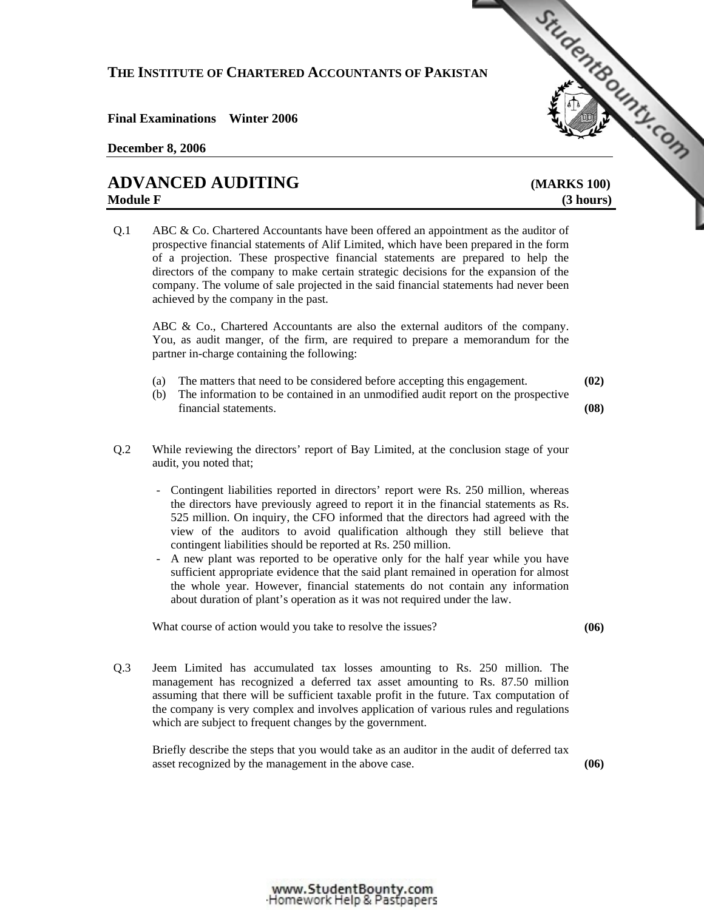## **THE INSTITUTE OF CHARTERED ACCOUNTANTS OF PAKISTAN**  THE INSTITUTE OF CHARTERED ACCOUNTANTS OF PARTICUSE of ALL PROPERTY OF CHARTERED ACCOUNTANTS OF PARTICUSE of ALL PROPERTY OF A CONTROL CHARTER OF A CONTROL CHARTER OF A CONTROL CHARTER OF A CONTROL CHARTER OF A CONTROL CHA

**Final Examinations Winter 2006** 

## **December 8, 2006**

## **Module F** (3 hours)

Q.1 ABC & Co. Chartered Accountants have been offered an appointment as the auditor of prospective financial statements of Alif Limited, which have been prepared in the form of a projection. These prospective financial statements are prepared to help the directors of the company to make certain strategic decisions for the expansion of the company. The volume of sale projected in the said financial statements had never been achieved by the company in the past.

ABC & Co., Chartered Accountants are also the external auditors of the company. You, as audit manger, of the firm, are required to prepare a memorandum for the partner in-charge containing the following:

- (a) The matters that need to be considered before accepting this engagement. **(02)**
- (b) The information to be contained in an unmodified audit report on the prospective financial statements. **(08)**

- Q.2 While reviewing the directors' report of Bay Limited, at the conclusion stage of your audit, you noted that;
	- Contingent liabilities reported in directors' report were Rs. 250 million, whereas the directors have previously agreed to report it in the financial statements as Rs. 525 million. On inquiry, the CFO informed that the directors had agreed with the view of the auditors to avoid qualification although they still believe that contingent liabilities should be reported at Rs. 250 million.
	- A new plant was reported to be operative only for the half year while you have sufficient appropriate evidence that the said plant remained in operation for almost the whole year. However, financial statements do not contain any information about duration of plant's operation as it was not required under the law.

What course of action would you take to resolve the issues? **(06) (06)** 

Q.3 Jeem Limited has accumulated tax losses amounting to Rs. 250 million. The management has recognized a deferred tax asset amounting to Rs. 87.50 million assuming that there will be sufficient taxable profit in the future. Tax computation of the company is very complex and involves application of various rules and regulations which are subject to frequent changes by the government.

Briefly describe the steps that you would take as an auditor in the audit of deferred tax asset recognized by the management in the above case. **(06)** 

## www.StudentBounty.com Homework Help & Pastoapers-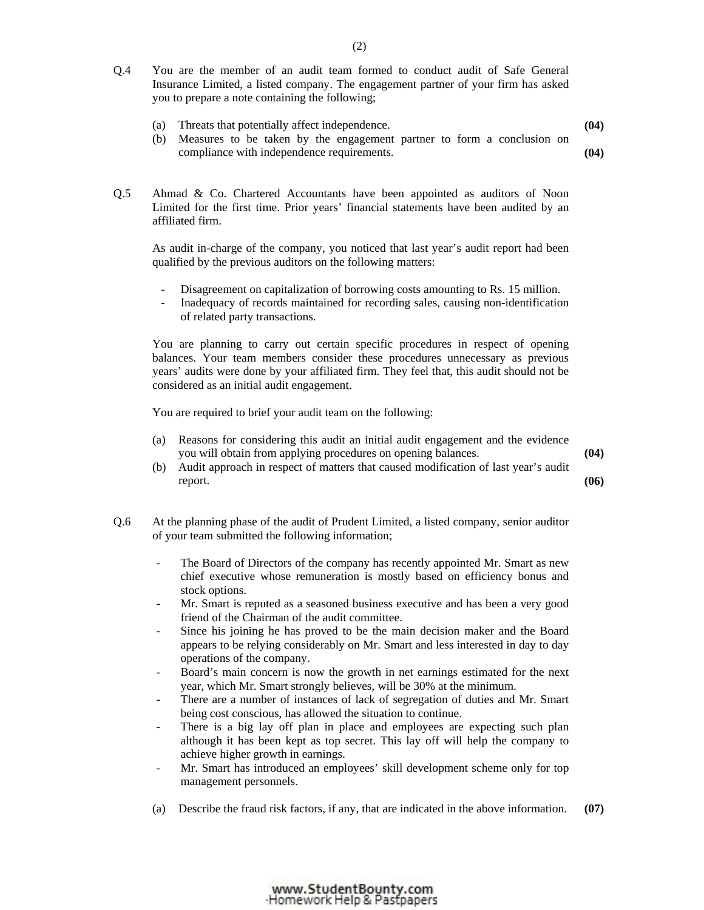- Q.4 You are the member of an audit team formed to conduct audit of Safe General Insurance Limited, a listed company. The engagement partner of your firm has asked you to prepare a note containing the following;
	- (a) Threats that potentially affect independence. **(04)**
	- (b) Measures to be taken by the engagement partner to form a conclusion on compliance with independence requirements. **(04)**
- Q.5 Ahmad & Co. Chartered Accountants have been appointed as auditors of Noon Limited for the first time. Prior years' financial statements have been audited by an affiliated firm.

As audit in-charge of the company, you noticed that last year's audit report had been qualified by the previous auditors on the following matters:

- Disagreement on capitalization of borrowing costs amounting to Rs. 15 million.
- Inadequacy of records maintained for recording sales, causing non-identification of related party transactions.

You are planning to carry out certain specific procedures in respect of opening balances. Your team members consider these procedures unnecessary as previous years' audits were done by your affiliated firm. They feel that, this audit should not be considered as an initial audit engagement.

You are required to brief your audit team on the following:

- (a) Reasons for considering this audit an initial audit engagement and the evidence you will obtain from applying procedures on opening balances. **(04)**
- (b) Audit approach in respect of matters that caused modification of last year's audit report.  $(06)$
- Q.6 At the planning phase of the audit of Prudent Limited, a listed company, senior auditor of your team submitted the following information;
	- The Board of Directors of the company has recently appointed Mr. Smart as new chief executive whose remuneration is mostly based on efficiency bonus and stock options.
	- Mr. Smart is reputed as a seasoned business executive and has been a very good friend of the Chairman of the audit committee.
	- Since his joining he has proved to be the main decision maker and the Board appears to be relying considerably on Mr. Smart and less interested in day to day operations of the company.
	- Board's main concern is now the growth in net earnings estimated for the next year, which Mr. Smart strongly believes, will be 30% at the minimum.
	- There are a number of instances of lack of segregation of duties and Mr. Smart being cost conscious, has allowed the situation to continue.
	- There is a big lay off plan in place and employees are expecting such plan although it has been kept as top secret. This lay off will help the company to achieve higher growth in earnings.
	- Mr. Smart has introduced an employees' skill development scheme only for top management personnels.

www.StudentBounty.com Homework Help & Pastpapers

(a) Describe the fraud risk factors, if any, that are indicated in the above information. **(07)**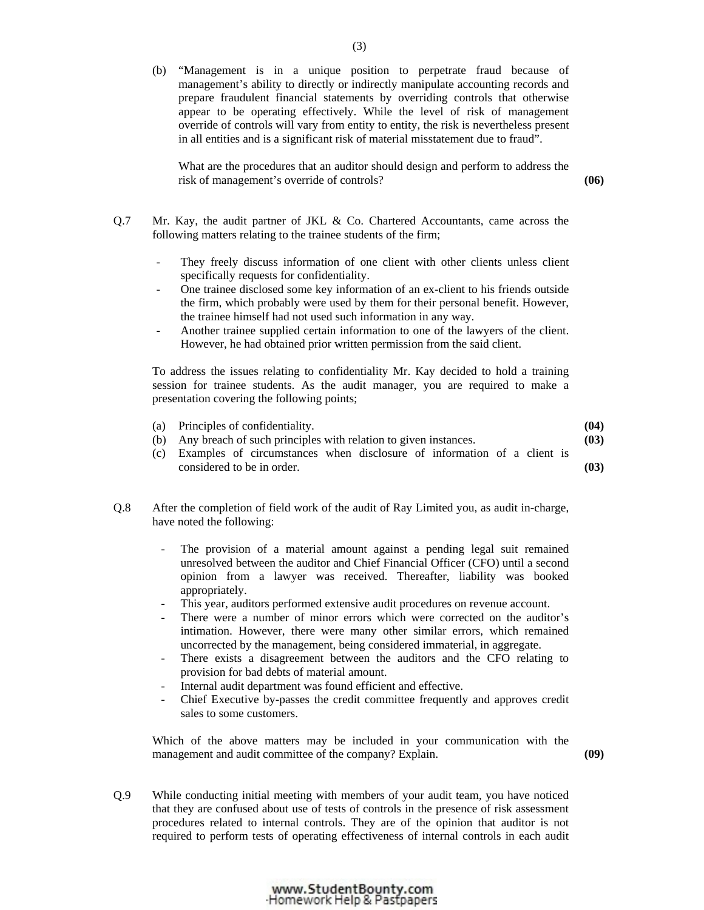(b) "Management is in a unique position to perpetrate fraud because of management's ability to directly or indirectly manipulate accounting records and prepare fraudulent financial statements by overriding controls that otherwise appear to be operating effectively. While the level of risk of management override of controls will vary from entity to entity, the risk is nevertheless present in all entities and is a significant risk of material misstatement due to fraud".

What are the procedures that an auditor should design and perform to address the risk of management's override of controls? **(06)** 

- Q.7 Mr. Kay, the audit partner of JKL & Co. Chartered Accountants, came across the following matters relating to the trainee students of the firm;
	- They freely discuss information of one client with other clients unless client specifically requests for confidentiality.
	- One trainee disclosed some key information of an ex-client to his friends outside the firm, which probably were used by them for their personal benefit. However, the trainee himself had not used such information in any way.
	- Another trainee supplied certain information to one of the lawyers of the client. However, he had obtained prior written permission from the said client.

To address the issues relating to confidentiality Mr. Kay decided to hold a training session for trainee students. As the audit manager, you are required to make a presentation covering the following points;

| (a) Principles of confidentiality.                                          | (04) |
|-----------------------------------------------------------------------------|------|
| (b) Any breach of such principles with relation to given instances.         | (03) |
| (c) Examples of circumstances when disclosure of information of a client is |      |
| considered to be in order.                                                  | (03) |

- Q.8 After the completion of field work of the audit of Ray Limited you, as audit in-charge, have noted the following:
	- The provision of a material amount against a pending legal suit remained unresolved between the auditor and Chief Financial Officer (CFO) until a second opinion from a lawyer was received. Thereafter, liability was booked appropriately.
	- This year, auditors performed extensive audit procedures on revenue account.
	- There were a number of minor errors which were corrected on the auditor's intimation. However, there were many other similar errors, which remained uncorrected by the management, being considered immaterial, in aggregate.
	- There exists a disagreement between the auditors and the CFO relating to provision for bad debts of material amount.
	- Internal audit department was found efficient and effective.
	- Chief Executive by-passes the credit committee frequently and approves credit sales to some customers.

Which of the above matters may be included in your communication with the management and audit committee of the company? Explain. **(09)** 

Q.9 While conducting initial meeting with members of your audit team, you have noticed that they are confused about use of tests of controls in the presence of risk assessment procedures related to internal controls. They are of the opinion that auditor is not required to perform tests of operating effectiveness of internal controls in each audit

www.StudentBounty.com Homework Help & Pastpapers